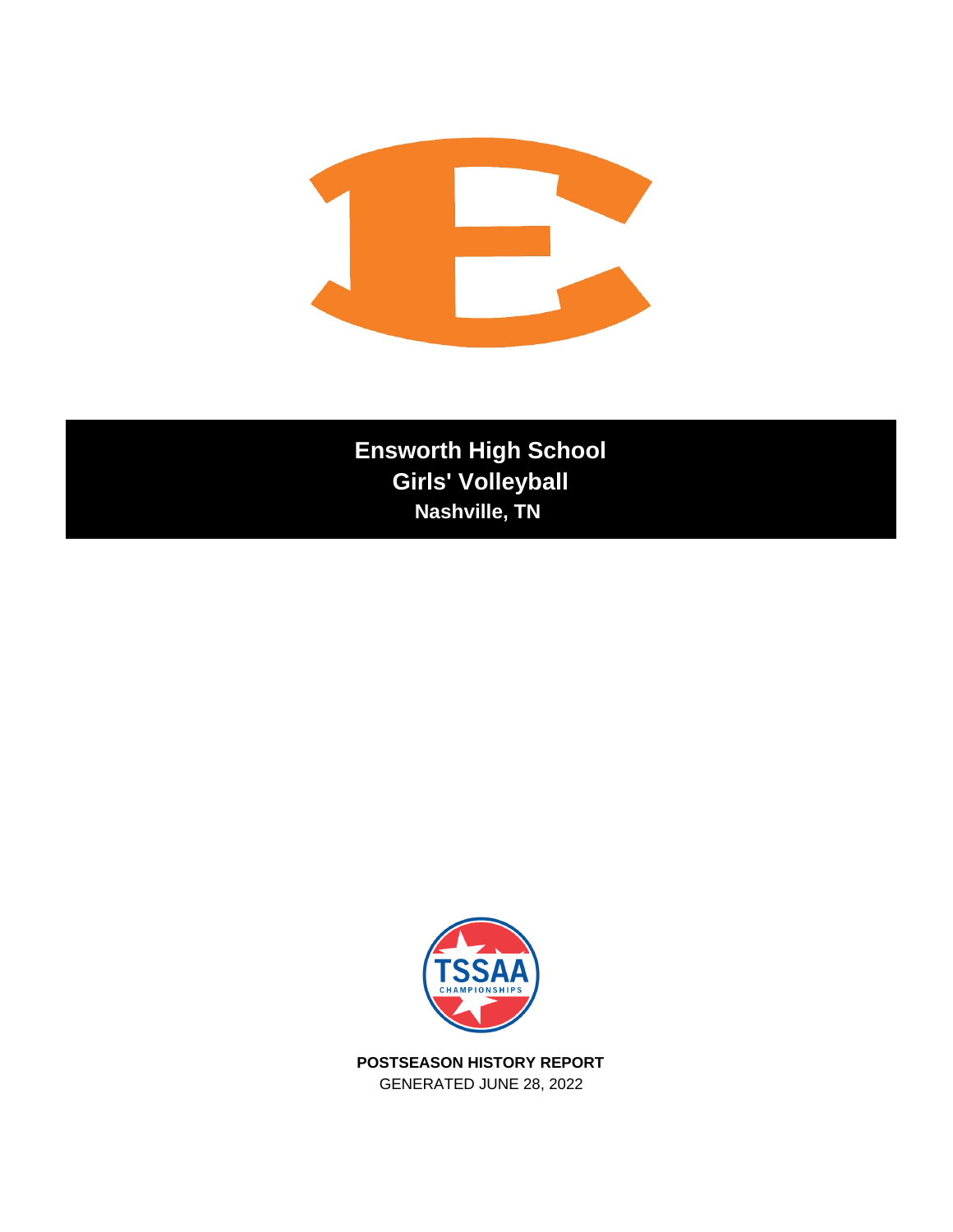

**Ensworth High School Girls' Volleyball Nashville, TN** 



**POSTSEASON HISTORY REPORT** GENERATED JUNE 28, 2022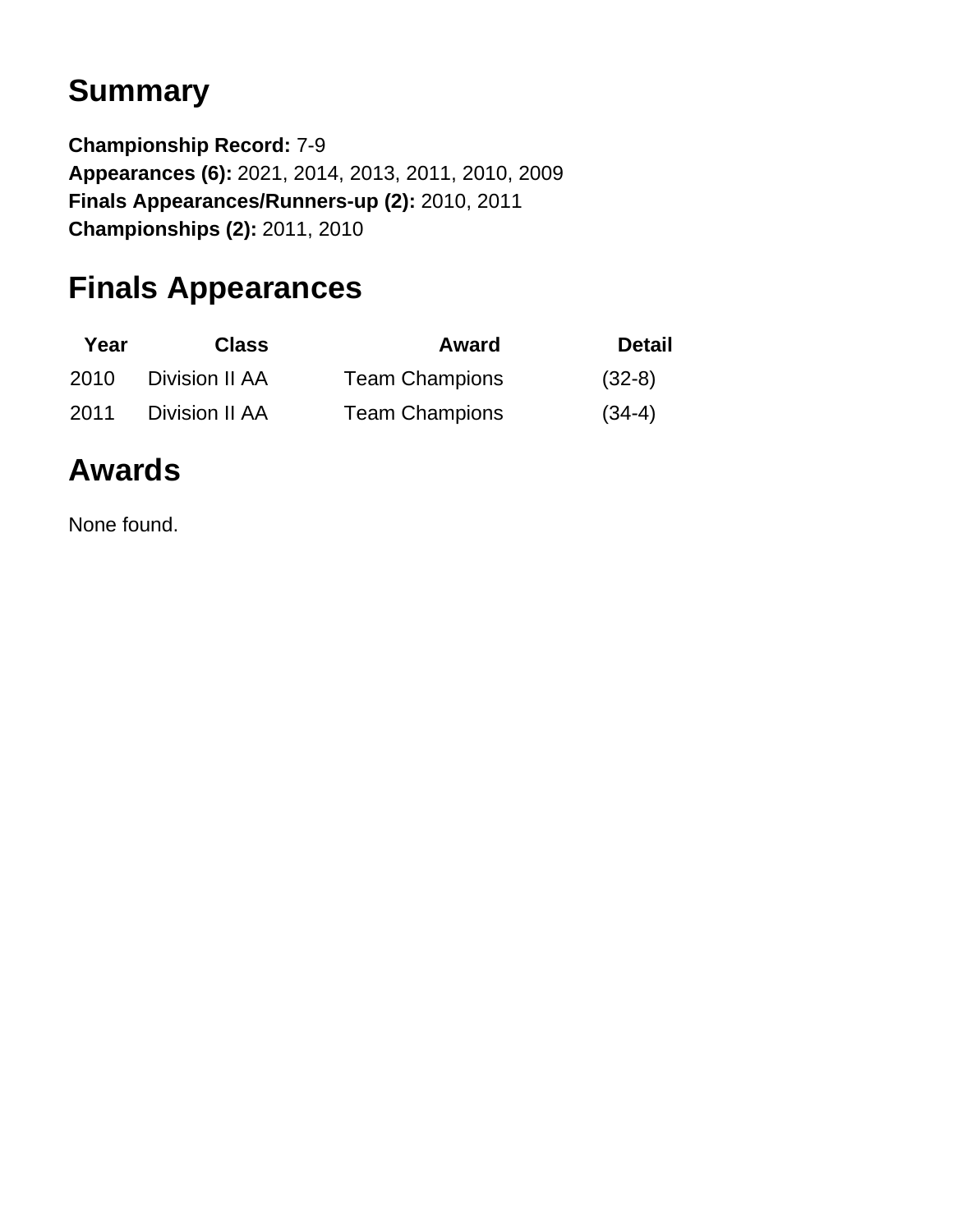# **Summary**

**Championship Record:** 7-9 **Appearances (6):** 2021, 2014, 2013, 2011, 2010, 2009 **Finals Appearances/Runners-up (2):** 2010, 2011 **Championships (2):** 2011, 2010

## **Finals Appearances**

| Year | <b>Class</b>   | Award                 | <b>Detail</b> |
|------|----------------|-----------------------|---------------|
| 2010 | Division II AA | <b>Team Champions</b> | $(32-8)$      |
| 2011 | Division II AA | <b>Team Champions</b> | $(34-4)$      |

# **Awards**

None found.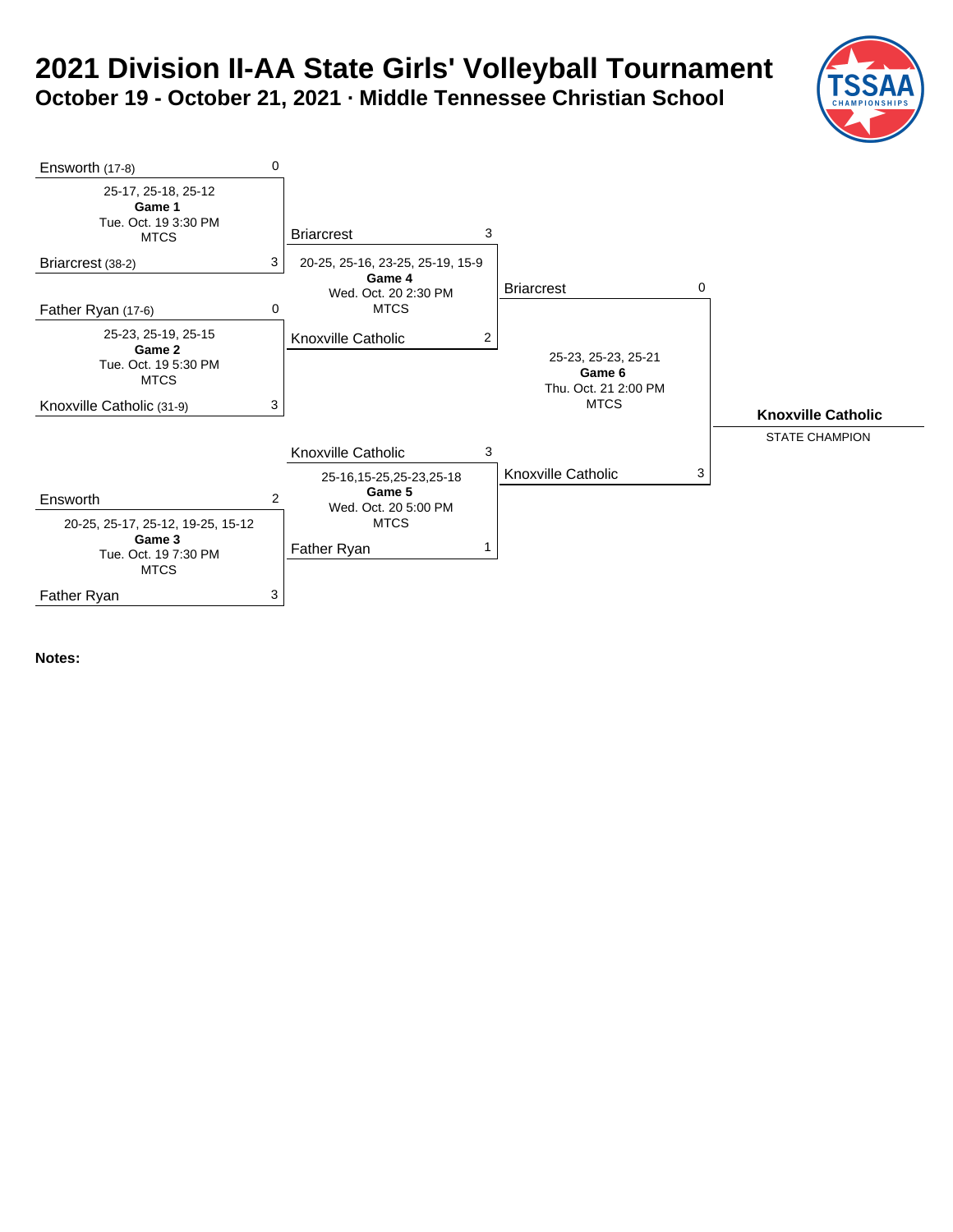### **2021 Division II-AA State Girls' Volleyball Tournament October 19 - October 21, 2021 · Middle Tennessee Christian School**

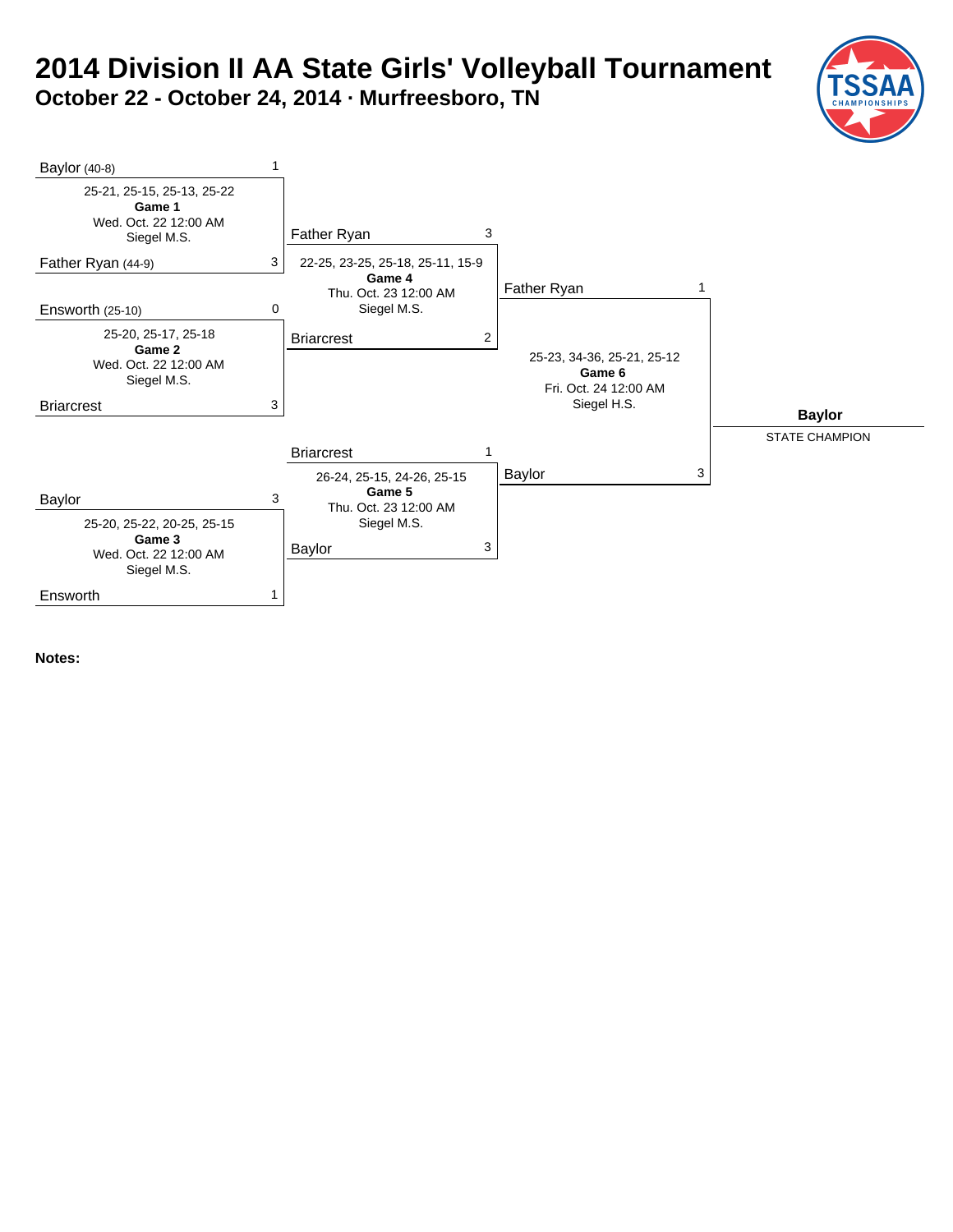### **2014 Division II AA State Girls' Volleyball Tournament October 22 - October 24, 2014 · Murfreesboro, TN**

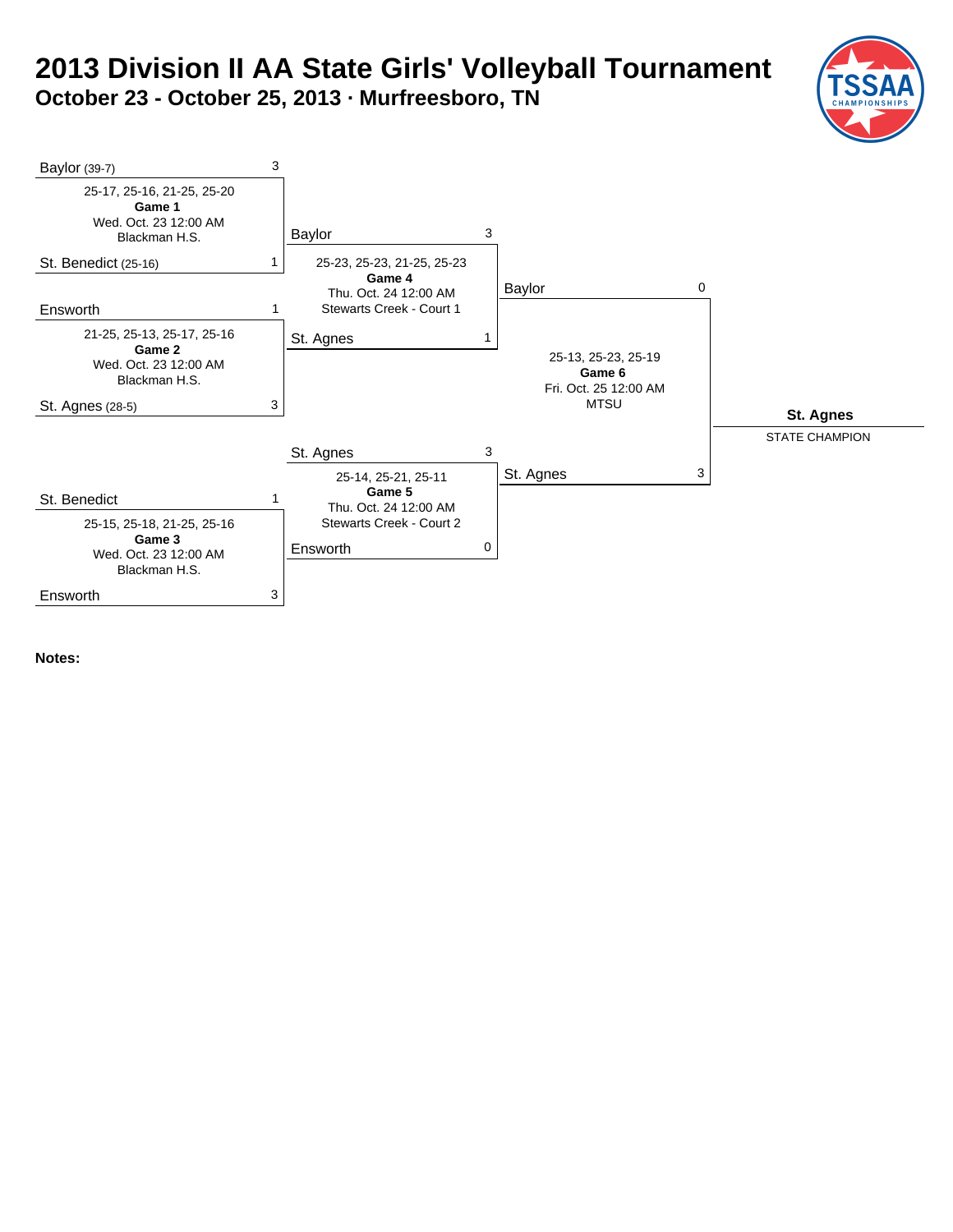### **2013 Division II AA State Girls' Volleyball Tournament October 23 - October 25, 2013 · Murfreesboro, TN**

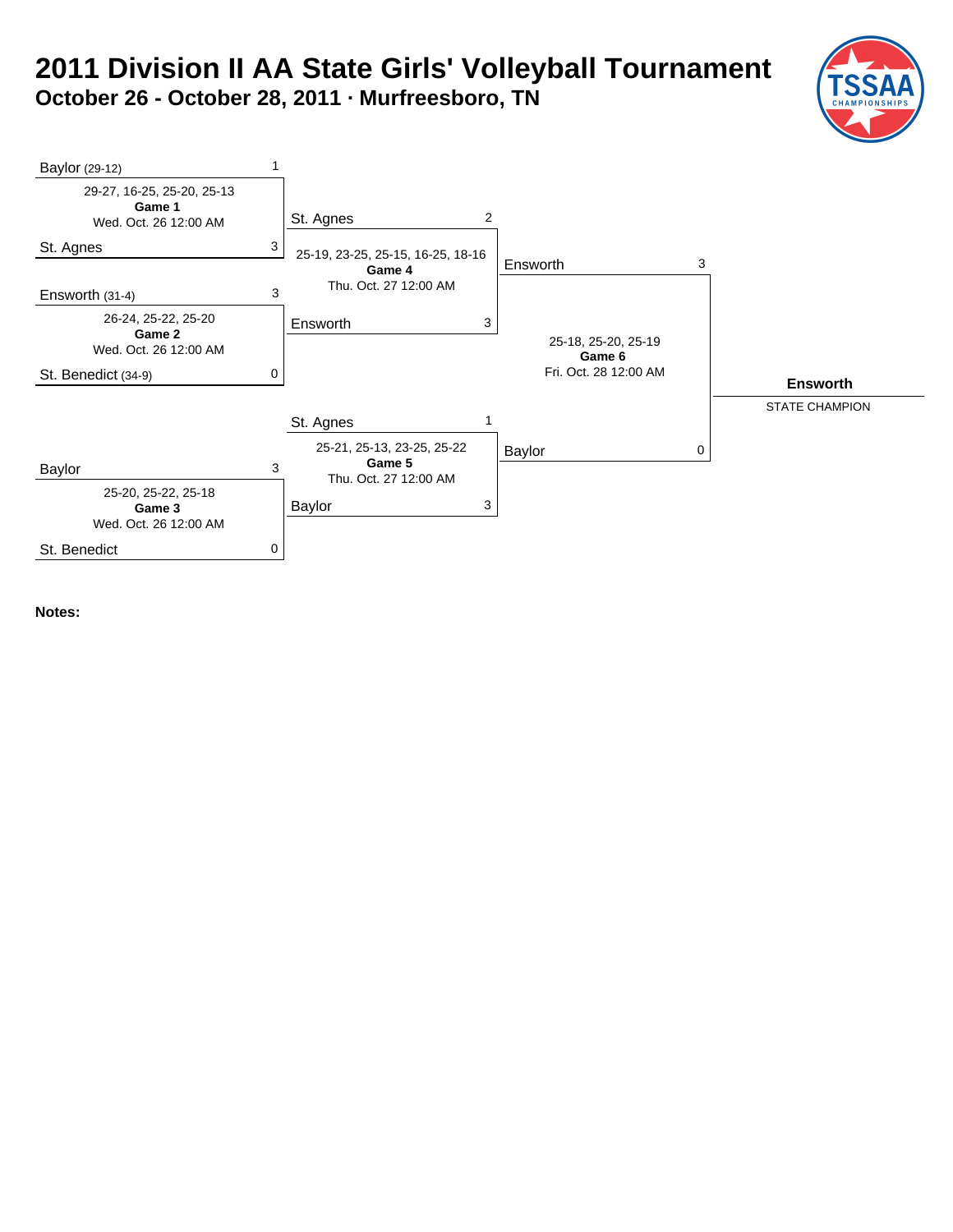### **2011 Division II AA State Girls' Volleyball Tournament October 26 - October 28, 2011 · Murfreesboro, TN**

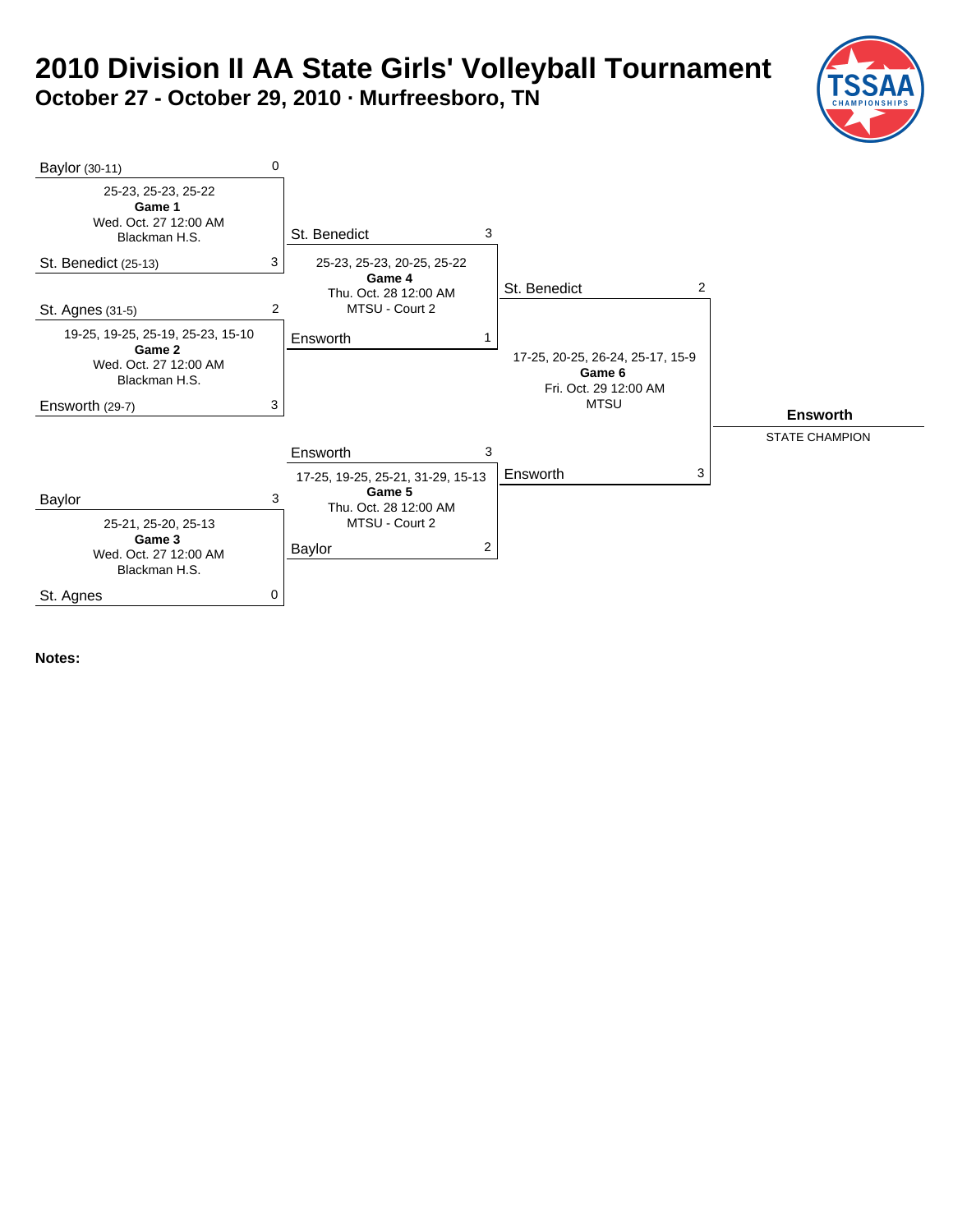### **2010 Division II AA State Girls' Volleyball Tournament October 27 - October 29, 2010 · Murfreesboro, TN**